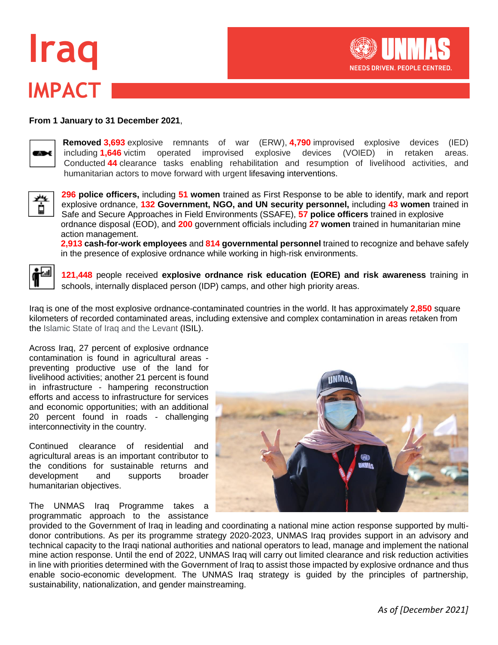# **IMPACT Iraq**



#### **From 1 January to 31 December 2021**,



**Removed 3,693** explosive remnants of war (ERW), **4,790** improvised explosive devices (IED) including **1,646** victim operated improvised explosive devices (VOIED) in retaken areas. Conducted **44** clearance tasks enabling rehabilitation and resumption of livelihood activities, and humanitarian actors to move forward with urgent lifesaving interventions.



**296 police officers,** including **51 women** trained as First Response to be able to identify, mark and report explosive ordnance, **132 Government, NGO, and UN security personnel,** including **43 women** trained in Safe and Secure Approaches in Field Environments (SSAFE), **57 police officers** trained in explosive ordnance disposal (EOD), and **200** government officials including **27 women** trained in humanitarian mine action management.

**2,913 cash-for-work employees** and **814 governmental personnel** trained to recognize and behave safely in the presence of explosive ordnance while working in high-risk environments.



**121,448** people received **explosive ordnance risk education (EORE) and risk awareness** training in schools, internally displaced person (IDP) camps, and other high priority areas.

Iraq is one of the most explosive ordnance-contaminated countries in the world. It has approximately **2,850** square kilometers of recorded contaminated areas, including extensive and complex contamination in areas retaken from the Islamic State of Iraq and the Levant (ISIL).

Across Iraq, 27 percent of explosive ordnance contamination is found in agricultural areas preventing productive use of the land for livelihood activities; another 21 percent is found in infrastructure - hampering reconstruction efforts and access to infrastructure for services and economic opportunities; with an additional 20 percent found in roads - challenging interconnectivity in the country.

Continued clearance of residential and agricultural areas is an important contributor to the conditions for sustainable returns and development and supports broader humanitarian objectives.

The UNMAS Iraq Programme takes a programmatic approach to the assistance



provided to the Government of Iraq in leading and coordinating a national mine action response supported by multidonor contributions. As per its programme strategy 2020-2023, UNMAS Iraq provides support in an advisory and technical capacity to the Iraqi national authorities and national operators to lead, manage and implement the national mine action response. Until the end of 2022, UNMAS Iraq will carry out limited clearance and risk reduction activities in line with priorities determined with the Government of Iraq to assist those impacted by explosive ordnance and thus enable socio-economic development. The UNMAS Iraq strategy is guided by the principles of partnership, sustainability, nationalization, and gender mainstreaming.